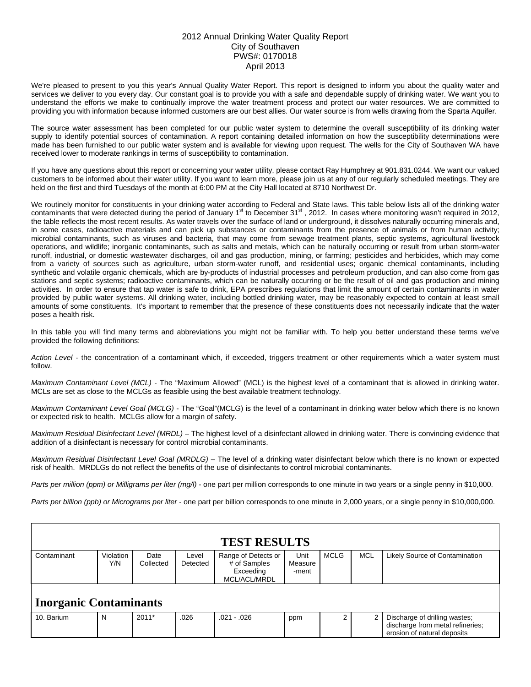## 2012 Annual Drinking Water Quality Report City of Southaven PWS#: 0170018 April 2013

We're pleased to present to you this year's Annual Quality Water Report. This report is designed to inform you about the quality water and services we deliver to you every day. Our constant goal is to provide you with a safe and dependable supply of drinking water. We want you to understand the efforts we make to continually improve the water treatment process and protect our water resources. We are committed to providing you with information because informed customers are our best allies. Our water source is from wells drawing from the Sparta Aquifer.

The source water assessment has been completed for our public water system to determine the overall susceptibility of its drinking water supply to identify potential sources of contamination. A report containing detailed information on how the susceptibility determinations were made has been furnished to our public water system and is available for viewing upon request. The wells for the City of Southaven WA have received lower to moderate rankings in terms of susceptibility to contamination.

If you have any questions about this report or concerning your water utility, please contact Ray Humphrey at 901.831.0244. We want our valued customers to be informed about their water utility. If you want to learn more, please join us at any of our regularly scheduled meetings. They are held on the first and third Tuesdays of the month at 6:00 PM at the City Hall located at 8710 Northwest Dr.

We routinely monitor for constituents in your drinking water according to Federal and State laws. This table below lists all of the drinking water contaminants that were detected during the period of January 1<sup>st</sup> to December 31<sup>st</sup>, 2012. In cases where monitoring wasn't required in 2012, the table reflects the most recent results. As water travels over the surface of land or underground, it dissolves naturally occurring minerals and, in some cases, radioactive materials and can pick up substances or contaminants from the presence of animals or from human activity; microbial contaminants, such as viruses and bacteria, that may come from sewage treatment plants, septic systems, agricultural livestock operations, and wildlife; inorganic contaminants, such as salts and metals, which can be naturally occurring or result from urban storm-water runoff, industrial, or domestic wastewater discharges, oil and gas production, mining, or farming; pesticides and herbicides, which may come from a variety of sources such as agriculture, urban storm-water runoff, and residential uses; organic chemical contaminants, including synthetic and volatile organic chemicals, which are by-products of industrial processes and petroleum production, and can also come from gas stations and septic systems; radioactive contaminants, which can be naturally occurring or be the result of oil and gas production and mining activities. In order to ensure that tap water is safe to drink, EPA prescribes regulations that limit the amount of certain contaminants in water provided by public water systems. All drinking water, including bottled drinking water, may be reasonably expected to contain at least small amounts of some constituents. It's important to remember that the presence of these constituents does not necessarily indicate that the water poses a health risk.

In this table you will find many terms and abbreviations you might not be familiar with. To help you better understand these terms we've provided the following definitions:

*Action Level* - the concentration of a contaminant which, if exceeded, triggers treatment or other requirements which a water system must follow.

*Maximum Contaminant Level (MCL)* - The "Maximum Allowed" (MCL) is the highest level of a contaminant that is allowed in drinking water. MCLs are set as close to the MCLGs as feasible using the best available treatment technology.

*Maximum Contaminant Level Goal (MCLG)* - The "Goal"(MCLG) is the level of a contaminant in drinking water below which there is no known or expected risk to health. MCLGs allow for a margin of safety.

*Maximum Residual Disinfectant Level (MRDL)* – The highest level of a disinfectant allowed in drinking water. There is convincing evidence that addition of a disinfectant is necessary for control microbial contaminants.

*Maximum Residual Disinfectant Level Goal (MRDLG)* – The level of a drinking water disinfectant below which there is no known or expected risk of health. MRDLGs do not reflect the benefits of the use of disinfectants to control microbial contaminants.

*Parts per million (ppm) or Milligrams per liter (mg/l)* - one part per million corresponds to one minute in two years or a single penny in \$10,000.

*Parts per billion (ppb) or Micrograms per liter* - one part per billion corresponds to one minute in 2,000 years, or a single penny in \$10,000,000.

| <b>TEST RESULTS</b>           |                  |                   |                   |                                                                  |                          |             |            |                                                                                                  |  |  |  |  |
|-------------------------------|------------------|-------------------|-------------------|------------------------------------------------------------------|--------------------------|-------------|------------|--------------------------------------------------------------------------------------------------|--|--|--|--|
| Contaminant                   | Violation<br>Y/N | Date<br>Collected | Level<br>Detected | Range of Detects or<br># of Samples<br>Exceeding<br>MCL/ACL/MRDL | Unit<br>Measure<br>-ment | <b>MCLG</b> | <b>MCL</b> | Likely Source of Contamination                                                                   |  |  |  |  |
| <b>Inorganic Contaminants</b> |                  |                   |                   |                                                                  |                          |             |            |                                                                                                  |  |  |  |  |
| 10. Barium                    | N                | $2011*$           | .026              | $.021 - .026$                                                    | ppm                      |             |            | Discharge of drilling wastes;<br>discharge from metal refineries;<br>erosion of natural deposits |  |  |  |  |